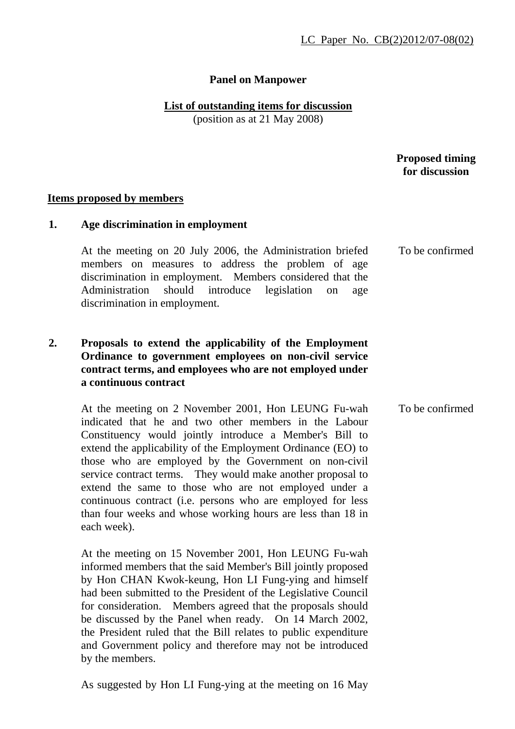# **Panel on Manpower**

# **List of outstanding items for discussion**

(position as at 21 May 2008)

 **Proposed timing for discussion** 

To be confirmed

### **Items proposed by members**

### **1. Age discrimination in employment**

At the meeting on 20 July 2006, the Administration briefed members on measures to address the problem of age discrimination in employment. Members considered that the Administration should introduce legislation on age discrimination in employment.

### **2. Proposals to extend the applicability of the Employment Ordinance to government employees on non-civil service contract terms, and employees who are not employed under a continuous contract**

At the meeting on 2 November 2001, Hon LEUNG Fu-wah indicated that he and two other members in the Labour Constituency would jointly introduce a Member's Bill to extend the applicability of the Employment Ordinance (EO) to those who are employed by the Government on non-civil service contract terms. They would make another proposal to extend the same to those who are not employed under a continuous contract (i.e. persons who are employed for less than four weeks and whose working hours are less than 18 in each week). To be confirmed

At the meeting on 15 November 2001, Hon LEUNG Fu-wah informed members that the said Member's Bill jointly proposed by Hon CHAN Kwok-keung, Hon LI Fung-ying and himself had been submitted to the President of the Legislative Council for consideration. Members agreed that the proposals should be discussed by the Panel when ready. On 14 March 2002, the President ruled that the Bill relates to public expenditure and Government policy and therefore may not be introduced by the members.

As suggested by Hon LI Fung-ying at the meeting on 16 May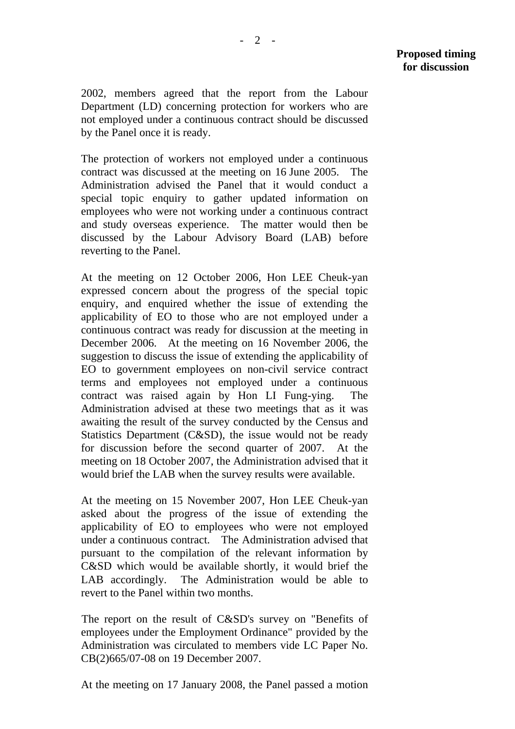2002, members agreed that the report from the Labour Department (LD) concerning protection for workers who are not employed under a continuous contract should be discussed by the Panel once it is ready.

The protection of workers not employed under a continuous contract was discussed at the meeting on 16 June 2005. The Administration advised the Panel that it would conduct a special topic enquiry to gather updated information on employees who were not working under a continuous contract and study overseas experience. The matter would then be discussed by the Labour Advisory Board (LAB) before reverting to the Panel.

At the meeting on 12 October 2006, Hon LEE Cheuk-yan expressed concern about the progress of the special topic enquiry, and enquired whether the issue of extending the applicability of EO to those who are not employed under a continuous contract was ready for discussion at the meeting in December 2006. At the meeting on 16 November 2006, the suggestion to discuss the issue of extending the applicability of EO to government employees on non-civil service contract terms and employees not employed under a continuous contract was raised again by Hon LI Fung-ying. The Administration advised at these two meetings that as it was awaiting the result of the survey conducted by the Census and Statistics Department (C&SD), the issue would not be ready for discussion before the second quarter of 2007. At the meeting on 18 October 2007, the Administration advised that it would brief the LAB when the survey results were available.

At the meeting on 15 November 2007, Hon LEE Cheuk-yan asked about the progress of the issue of extending the applicability of EO to employees who were not employed under a continuous contract. The Administration advised that pursuant to the compilation of the relevant information by C&SD which would be available shortly, it would brief the LAB accordingly. The Administration would be able to revert to the Panel within two months.

The report on the result of C&SD's survey on "Benefits of employees under the Employment Ordinance" provided by the Administration was circulated to members vide LC Paper No. CB(2)665/07-08 on 19 December 2007.

At the meeting on 17 January 2008, the Panel passed a motion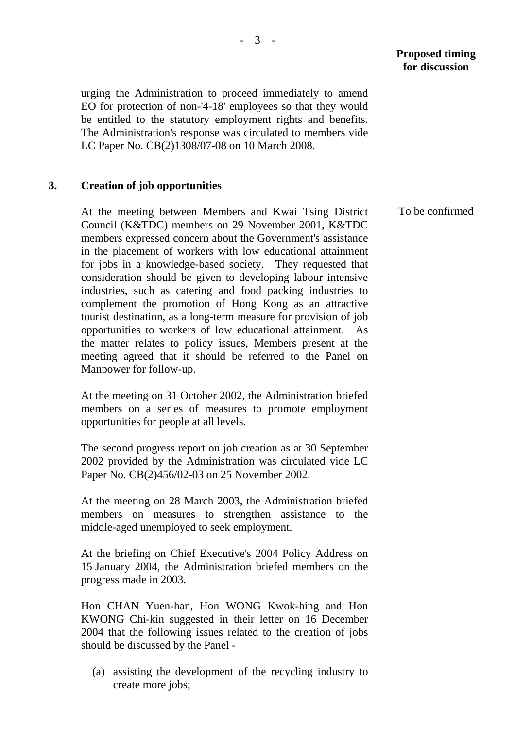urging the Administration to proceed immediately to amend EO for protection of non-'4-18' employees so that they would be entitled to the statutory employment rights and benefits. The Administration's response was circulated to members vide LC Paper No. CB(2)1308/07-08 on 10 March 2008.

### **3. Creation of job opportunities**

At the meeting between Members and Kwai Tsing District Council (K&TDC) members on 29 November 2001, K&TDC members expressed concern about the Government's assistance in the placement of workers with low educational attainment for jobs in a knowledge-based society. They requested that consideration should be given to developing labour intensive industries, such as catering and food packing industries to complement the promotion of Hong Kong as an attractive tourist destination, as a long-term measure for provision of job opportunities to workers of low educational attainment. As the matter relates to policy issues, Members present at the meeting agreed that it should be referred to the Panel on Manpower for follow-up.

At the meeting on 31 October 2002, the Administration briefed members on a series of measures to promote employment opportunities for people at all levels.

The second progress report on job creation as at 30 September 2002 provided by the Administration was circulated vide LC Paper No. CB(2)456/02-03 on 25 November 2002.

At the meeting on 28 March 2003, the Administration briefed members on measures to strengthen assistance to the middle-aged unemployed to seek employment.

At the briefing on Chief Executive's 2004 Policy Address on 15 January 2004, the Administration briefed members on the progress made in 2003.

Hon CHAN Yuen-han, Hon WONG Kwok-hing and Hon KWONG Chi-kin suggested in their letter on 16 December 2004 that the following issues related to the creation of jobs should be discussed by the Panel -

(a) assisting the development of the recycling industry to create more jobs;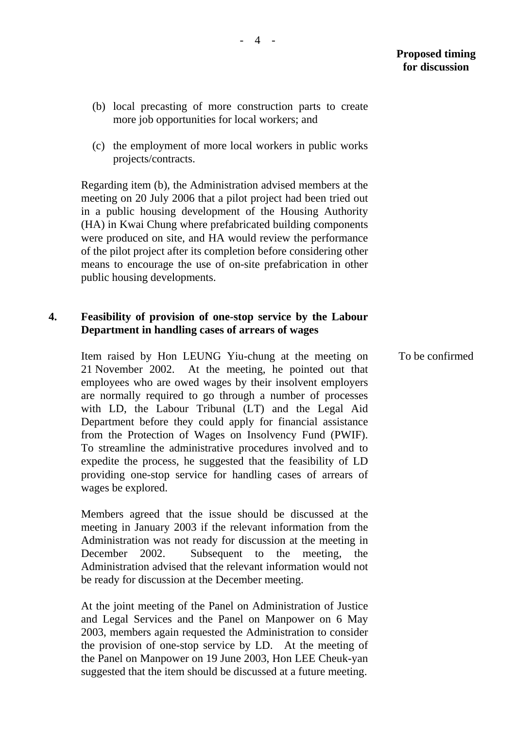- (b) local precasting of more construction parts to create more job opportunities for local workers; and
- (c) the employment of more local workers in public works projects/contracts.

Regarding item (b), the Administration advised members at the meeting on 20 July 2006 that a pilot project had been tried out in a public housing development of the Housing Authority (HA) in Kwai Chung where prefabricated building components were produced on site, and HA would review the performance of the pilot project after its completion before considering other means to encourage the use of on-site prefabrication in other public housing developments.

### **4. Feasibility of provision of one-stop service by the Labour Department in handling cases of arrears of wages**

Item raised by Hon LEUNG Yiu-chung at the meeting on 21 November 2002. At the meeting, he pointed out that employees who are owed wages by their insolvent employers are normally required to go through a number of processes with LD, the Labour Tribunal (LT) and the Legal Aid Department before they could apply for financial assistance from the Protection of Wages on Insolvency Fund (PWIF). To streamline the administrative procedures involved and to expedite the process, he suggested that the feasibility of LD providing one-stop service for handling cases of arrears of wages be explored.

Members agreed that the issue should be discussed at the meeting in January 2003 if the relevant information from the Administration was not ready for discussion at the meeting in December 2002. Subsequent to the meeting, the Administration advised that the relevant information would not be ready for discussion at the December meeting.

At the joint meeting of the Panel on Administration of Justice and Legal Services and the Panel on Manpower on 6 May 2003, members again requested the Administration to consider the provision of one-stop service by LD. At the meeting of the Panel on Manpower on 19 June 2003, Hon LEE Cheuk-yan suggested that the item should be discussed at a future meeting.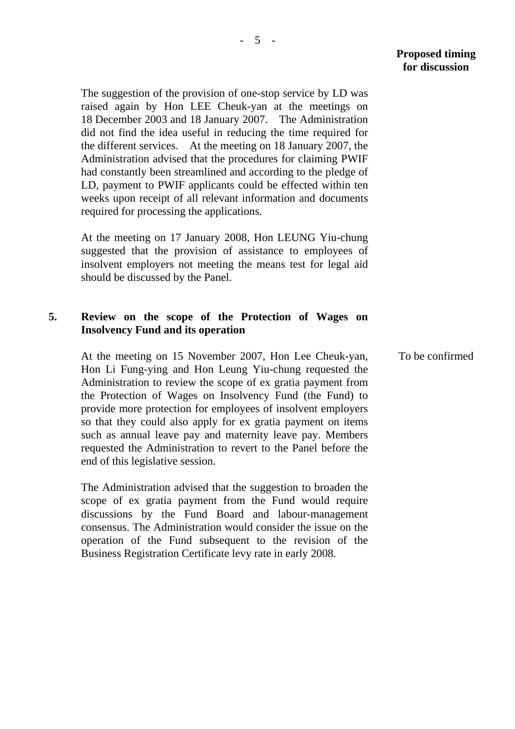The suggestion of the provision of one-stop service by LD was raised again by Hon LEE Cheuk-yan at the meetings on 18 December 2003 and 18 January 2007. The Administration did not find the idea useful in reducing the time required for the different services. At the meeting on 18 January 2007, the Administration advised that the procedures for claiming PWIF had constantly been streamlined and according to the pledge of LD, payment to PWIF applicants could be effected within ten weeks upon receipt of all relevant information and documents required for processing the applications.

At the meeting on 17 January 2008, Hon LEUNG Yiu-chung suggested that the provision of assistance to employees of insolvent employers not meeting the means test for legal aid should be discussed by the Panel.

#### **5. Review on the scope of the Protection of Wages on Insolvency Fund and its operation**

At the meeting on 15 November 2007, Hon Lee Cheuk-yan, Hon Li Fung-ying and Hon Leung Yiu-chung requested the Administration to review the scope of ex gratia payment from the Protection of Wages on Insolvency Fund (the Fund) to provide more protection for employees of insolvent employers so that they could also apply for ex gratia payment on items such as annual leave pay and maternity leave pay. Members requested the Administration to revert to the Panel before the end of this legislative session.

The Administration advised that the suggestion to broaden the scope of ex gratia payment from the Fund would require discussions by the Fund Board and labour-management consensus. The Administration would consider the issue on the operation of the Fund subsequent to the revision of the Business Registration Certificate levy rate in early 2008.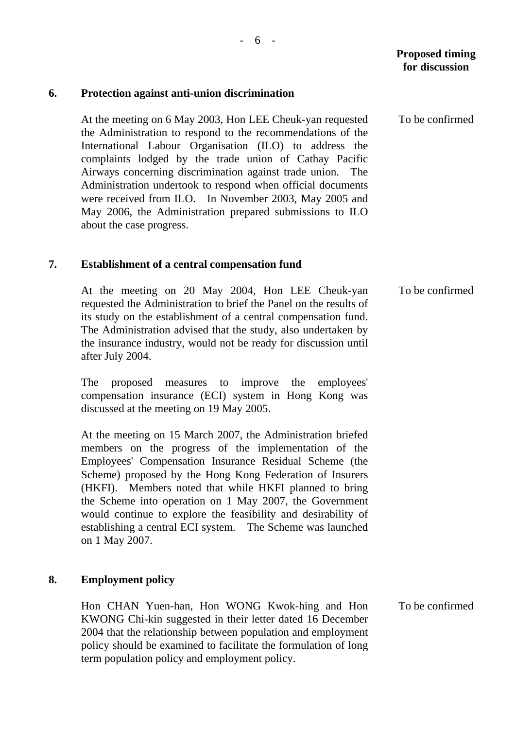#### **6. Protection against anti-union discrimination**

At the meeting on 6 May 2003, Hon LEE Cheuk-yan requested the Administration to respond to the recommendations of the International Labour Organisation (ILO) to address the complaints lodged by the trade union of Cathay Pacific Airways concerning discrimination against trade union. The Administration undertook to respond when official documents were received from ILO. In November 2003, May 2005 and May 2006, the Administration prepared submissions to ILO about the case progress.

#### **7. Establishment of a central compensation fund**

At the meeting on 20 May 2004, Hon LEE Cheuk-yan requested the Administration to brief the Panel on the results of its study on the establishment of a central compensation fund. The Administration advised that the study, also undertaken by the insurance industry, would not be ready for discussion until after July 2004.

The proposed measures to improve the employees' compensation insurance (ECI) system in Hong Kong was discussed at the meeting on 19 May 2005.

At the meeting on 15 March 2007, the Administration briefed members on the progress of the implementation of the Employees' Compensation Insurance Residual Scheme (the Scheme) proposed by the Hong Kong Federation of Insurers (HKFI). Members noted that while HKFI planned to bring the Scheme into operation on 1 May 2007, the Government would continue to explore the feasibility and desirability of establishing a central ECI system. The Scheme was launched on 1 May 2007.

#### **8. Employment policy**

Hon CHAN Yuen-han, Hon WONG Kwok-hing and Hon KWONG Chi-kin suggested in their letter dated 16 December 2004 that the relationship between population and employment policy should be examined to facilitate the formulation of long term population policy and employment policy.

To be confirmed

To be confirmed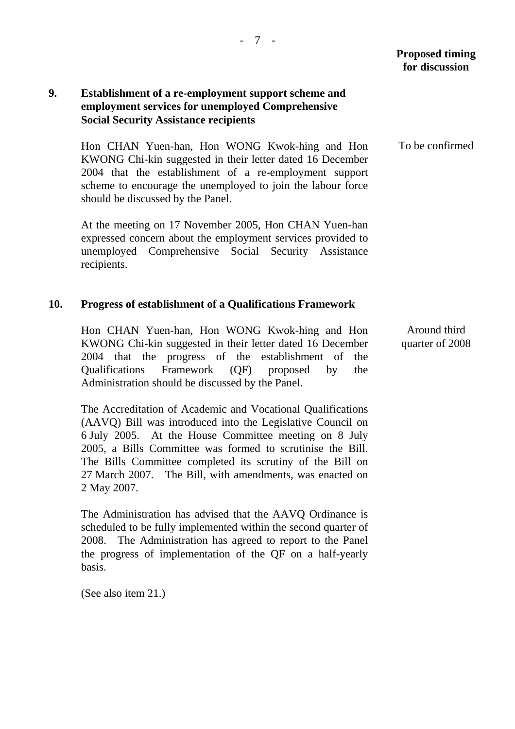## **9. Establishment of a re-employment support scheme and employment services for unemployed Comprehensive Social Security Assistance recipients**

Hon CHAN Yuen-han, Hon WONG Kwok-hing and Hon KWONG Chi-kin suggested in their letter dated 16 December 2004 that the establishment of a re-employment support scheme to encourage the unemployed to join the labour force should be discussed by the Panel.

At the meeting on 17 November 2005, Hon CHAN Yuen-han expressed concern about the employment services provided to unemployed Comprehensive Social Security Assistance recipients.

### **10. Progress of establishment of a Qualifications Framework**

Hon CHAN Yuen-han, Hon WONG Kwok-hing and Hon KWONG Chi-kin suggested in their letter dated 16 December 2004 that the progress of the establishment of the Qualifications Framework (QF) proposed by the Administration should be discussed by the Panel.

The Accreditation of Academic and Vocational Qualifications (AAVQ) Bill was introduced into the Legislative Council on 6 July 2005. At the House Committee meeting on 8 July 2005, a Bills Committee was formed to scrutinise the Bill. The Bills Committee completed its scrutiny of the Bill on 27 March 2007. The Bill, with amendments, was enacted on 2 May 2007.

The Administration has advised that the AAVQ Ordinance is scheduled to be fully implemented within the second quarter of 2008. The Administration has agreed to report to the Panel the progress of implementation of the QF on a half-yearly basis.

(See also item 21.)

To be confirmed

Around third quarter of 2008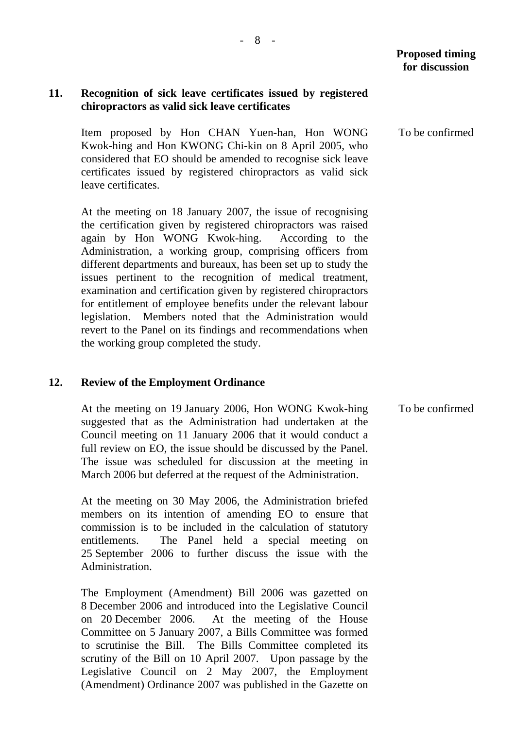### **11. Recognition of sick leave certificates issued by registered chiropractors as valid sick leave certificates**

Item proposed by Hon CHAN Yuen-han, Hon WONG Kwok-hing and Hon KWONG Chi-kin on 8 April 2005, who considered that EO should be amended to recognise sick leave certificates issued by registered chiropractors as valid sick leave certificates.

At the meeting on 18 January 2007, the issue of recognising the certification given by registered chiropractors was raised again by Hon WONG Kwok-hing. According to the Administration, a working group, comprising officers from different departments and bureaux, has been set up to study the issues pertinent to the recognition of medical treatment, examination and certification given by registered chiropractors for entitlement of employee benefits under the relevant labour legislation. Members noted that the Administration would revert to the Panel on its findings and recommendations when the working group completed the study.

#### **12. Review of the Employment Ordinance**

At the meeting on 19 January 2006, Hon WONG Kwok-hing suggested that as the Administration had undertaken at the Council meeting on 11 January 2006 that it would conduct a full review on EO, the issue should be discussed by the Panel. The issue was scheduled for discussion at the meeting in March 2006 but deferred at the request of the Administration.

At the meeting on 30 May 2006, the Administration briefed members on its intention of amending EO to ensure that commission is to be included in the calculation of statutory entitlements. The Panel held a special meeting on 25 September 2006 to further discuss the issue with the Administration.

The Employment (Amendment) Bill 2006 was gazetted on 8 December 2006 and introduced into the Legislative Council on 20 December 2006. At the meeting of the House Committee on 5 January 2007, a Bills Committee was formed to scrutinise the Bill. The Bills Committee completed its scrutiny of the Bill on 10 April 2007. Upon passage by the Legislative Council on 2 May 2007, the Employment (Amendment) Ordinance 2007 was published in the Gazette on To be confirmed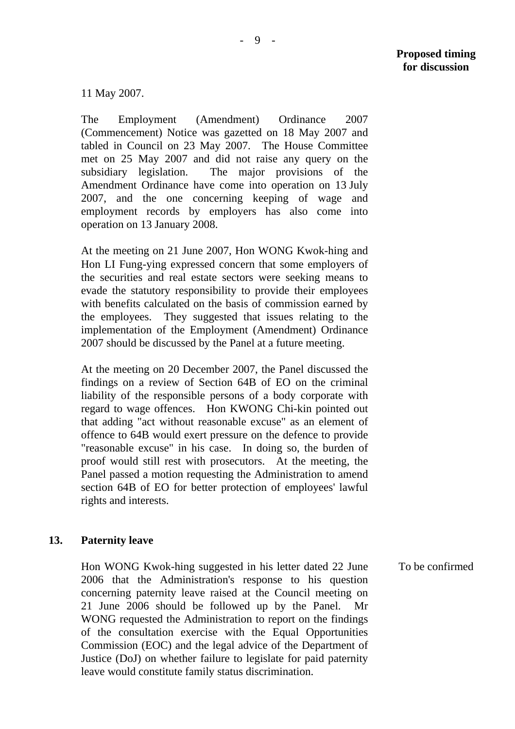11 May 2007.

The Employment (Amendment) Ordinance 2007 (Commencement) Notice was gazetted on 18 May 2007 and tabled in Council on 23 May 2007. The House Committee met on 25 May 2007 and did not raise any query on the subsidiary legislation. The major provisions of the Amendment Ordinance have come into operation on 13 July 2007, and the one concerning keeping of wage and employment records by employers has also come into operation on 13 January 2008.

At the meeting on 21 June 2007, Hon WONG Kwok-hing and Hon LI Fung-ying expressed concern that some employers of the securities and real estate sectors were seeking means to evade the statutory responsibility to provide their employees with benefits calculated on the basis of commission earned by the employees. They suggested that issues relating to the implementation of the Employment (Amendment) Ordinance 2007 should be discussed by the Panel at a future meeting.

At the meeting on 20 December 2007, the Panel discussed the findings on a review of Section 64B of EO on the criminal liability of the responsible persons of a body corporate with regard to wage offences. Hon KWONG Chi-kin pointed out that adding "act without reasonable excuse" as an element of offence to 64B would exert pressure on the defence to provide "reasonable excuse" in his case. In doing so, the burden of proof would still rest with prosecutors. At the meeting, the Panel passed a motion requesting the Administration to amend section 64B of EO for better protection of employees' lawful rights and interests.

#### **13. Paternity leave**

Hon WONG Kwok-hing suggested in his letter dated 22 June 2006 that the Administration's response to his question concerning paternity leave raised at the Council meeting on 21 June 2006 should be followed up by the Panel. Mr WONG requested the Administration to report on the findings of the consultation exercise with the Equal Opportunities Commission (EOC) and the legal advice of the Department of Justice (DoJ) on whether failure to legislate for paid paternity leave would constitute family status discrimination. To be confirmed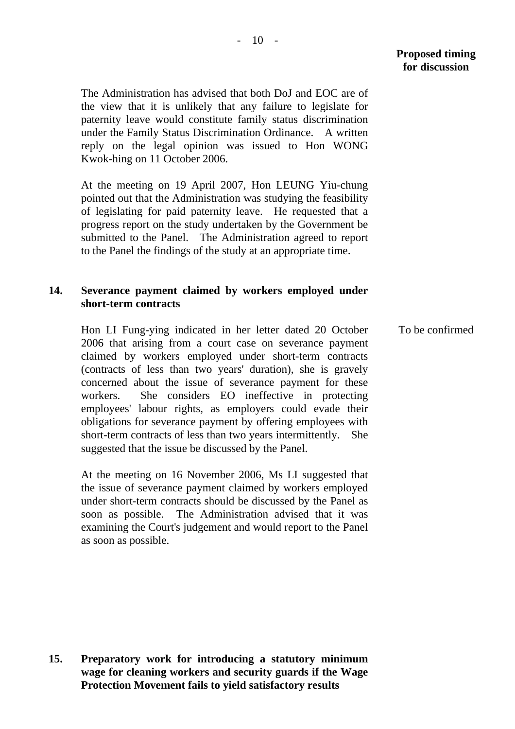The Administration has advised that both DoJ and EOC are of the view that it is unlikely that any failure to legislate for paternity leave would constitute family status discrimination under the Family Status Discrimination Ordinance. A written reply on the legal opinion was issued to Hon WONG Kwok-hing on 11 October 2006.

At the meeting on 19 April 2007, Hon LEUNG Yiu-chung pointed out that the Administration was studying the feasibility of legislating for paid paternity leave. He requested that a progress report on the study undertaken by the Government be submitted to the Panel. The Administration agreed to report to the Panel the findings of the study at an appropriate time.

## **14. Severance payment claimed by workers employed under short-term contracts**

Hon LI Fung-ying indicated in her letter dated 20 October 2006 that arising from a court case on severance payment claimed by workers employed under short-term contracts (contracts of less than two years' duration), she is gravely concerned about the issue of severance payment for these workers. She considers EO ineffective in protecting employees' labour rights, as employers could evade their obligations for severance payment by offering employees with short-term contracts of less than two years intermittently. She suggested that the issue be discussed by the Panel.

At the meeting on 16 November 2006, Ms LI suggested that the issue of severance payment claimed by workers employed under short-term contracts should be discussed by the Panel as soon as possible. The Administration advised that it was examining the Court's judgement and would report to the Panel as soon as possible.

**15. Preparatory work for introducing a statutory minimum wage for cleaning workers and security guards if the Wage Protection Movement fails to yield satisfactory results**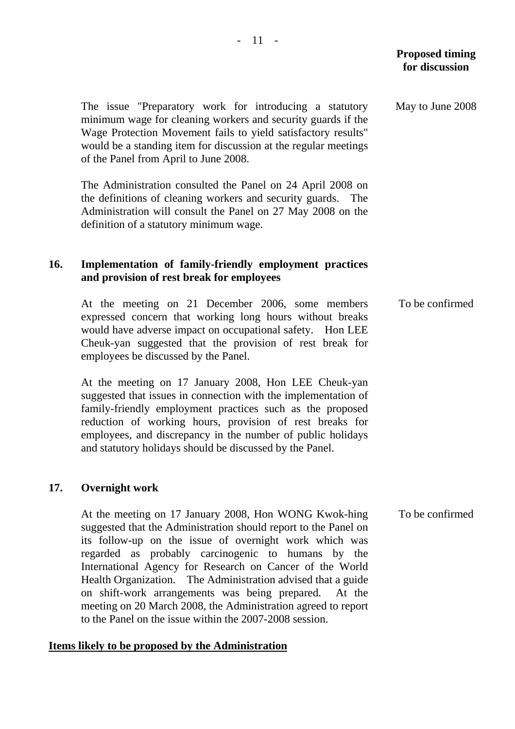The issue "Preparatory work for introducing a statutory minimum wage for cleaning workers and security guards if the Wage Protection Movement fails to yield satisfactory results" would be a standing item for discussion at the regular meetings of the Panel from April to June 2008.

The Administration consulted the Panel on 24 April 2008 on the definitions of cleaning workers and security guards. The Administration will consult the Panel on 27 May 2008 on the definition of a statutory minimum wage.

### **16. Implementation of family-friendly employment practices and provision of rest break for employees**

At the meeting on 21 December 2006, some members expressed concern that working long hours without breaks would have adverse impact on occupational safety. Hon LEE Cheuk-yan suggested that the provision of rest break for employees be discussed by the Panel.

At the meeting on 17 January 2008, Hon LEE Cheuk-yan suggested that issues in connection with the implementation of family-friendly employment practices such as the proposed reduction of working hours, provision of rest breaks for employees, and discrepancy in the number of public holidays and statutory holidays should be discussed by the Panel.

### **17. Overnight work**

At the meeting on 17 January 2008, Hon WONG Kwok-hing suggested that the Administration should report to the Panel on its follow-up on the issue of overnight work which was regarded as probably carcinogenic to humans by the International Agency for Research on Cancer of the World Health Organization. The Administration advised that a guide on shift-work arrangements was being prepared. At the meeting on 20 March 2008, the Administration agreed to report to the Panel on the issue within the 2007-2008 session.

### **Items likely to be proposed by the Administration**

May to June 2008

To be confirmed